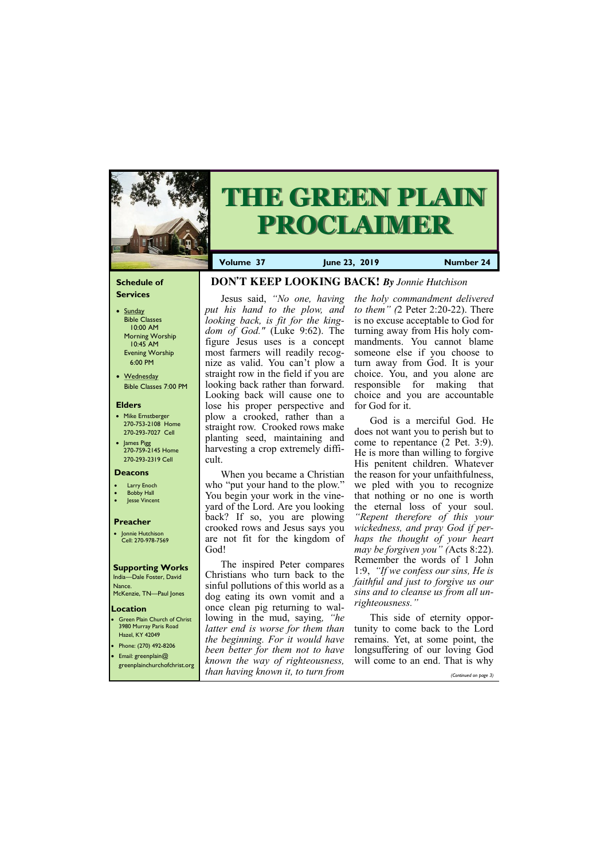# **Schedule of Services**

- Sunday Bible Classes 10:00 AM Morning Worship 10:45 AM Evening Worship 6:00 PM
- Wednesday Bible Classes 7:00 PM

# **Elders**

- Mike Ernstberger 270-753-2108 Home 270-293-7027 Cell
- James Pigg 270-759-2145 Home 270-293-2319 Cell



# **THE GREEN PLAIN PROCLAIMER**

- **Larry Enoch**
- **Bobby Hall**
- Jesse Vincent

## **Location**

• Green Plain Church of Christ 3980 Murray Paris Road Hazel, KY 42049 • Phone: (270) 492-8206

**Volume 37 June 23, 2019 Number 24**

## **Deacons**

# **Preacher**

• Jonnie Hutchison Cell: 270-978-7569

# **Supporting Works**

India—Dale Foster, David Nance. McKenzie, TN—Paul Jones

# **DON'T KEEP LOOKING BACK!** *By Jonnie Hutchison*

Jesus said, *"No one, having put his hand to the plow, and looking back, is fit for the kingdom of God."* (Luke 9:62). The figure Jesus uses is a concept most farmers will readily recognize as valid. You can't plow a straight row in the field if you are looking back rather than forward. Looking back will cause one to lose his proper perspective and plow a crooked, rather than a straight row. Crooked rows make planting seed, maintaining and harvesting a crop extremely difficult.

When you became a Christian who "put your hand to the plow." You begin your work in the vineyard of the Lord. Are you looking back? If so, you are plowing crooked rows and Jesus says you are not fit for the kingdom of God!

The inspired Peter compares Christians who turn back to the sinful pollutions of this world as a dog eating its own vomit and a once clean pig returning to wallowing in the mud, saying*, "he latter end is worse for them than the beginning. For it would have* 

| $\bullet$ Prione: (270) 472-6206 | been better for them not to have longsuffering of our loving God         |                       |
|----------------------------------|--------------------------------------------------------------------------|-----------------------|
| <b>•</b> Email: greenplain@      |                                                                          |                       |
| greenplainchurchofchrist.org     | <i>known the way of righteousness</i> , will come to an end. That is why |                       |
|                                  | than having known it, to turn from                                       | (Continued on page 3) |

*the holy commandment delivered to them" (*2 Peter 2:20-22). There is no excuse acceptable to God for turning away from His holy commandments. You cannot blame someone else if you choose to turn away from God. It is your choice. You, and you alone are responsible for making that choice and you are accountable for God for it.

God is a merciful God. He does not want you to perish but to come to repentance (2 Pet. 3:9). He is more than willing to forgive His penitent children. Whatever the reason for your unfaithfulness, we pled with you to recognize that nothing or no one is worth the eternal loss of your soul. *"Repent therefore of this your wickedness, and pray God if perhaps the thought of your heart may be forgiven you" (*Acts 8:22). Remember the words of 1 John 1:9, *"If we confess our sins, He is faithful and just to forgive us our sins and to cleanse us from all unrighteousness."*

This side of eternity opportunity to come back to the Lord remains. Yet, at some point, the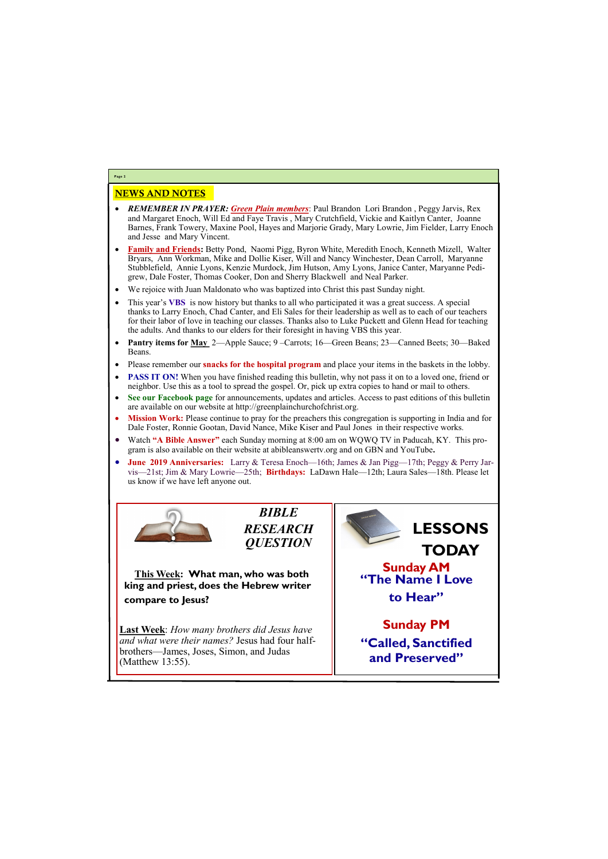# NEWS AND NOTES

- *REMEMBER IN PRAYER: Green Plain members*: Paul Brandon Lori Brandon , Peggy Jarvis, Rex and Margaret Enoch, Will Ed and Faye Travis , Mary Crutchfield, Vickie and Kaitlyn Canter, Joanne Barnes, Frank Towery, Maxine Pool, Hayes and Marjorie Grady, Mary Lowrie, Jim Fielder, Larry Enoch and Jesse and Mary Vincent.
- **Family and Friends:** Betty Pond, Naomi Pigg, Byron White, Meredith Enoch, Kenneth Mizell, Walter Bryars, Ann Workman, Mike and Dollie Kiser, Will and Nancy Winchester, Dean Carroll, Maryanne Stubblefield, Annie Lyons, Kenzie Murdock, Jim Hutson, Amy Lyons, Janice Canter, Maryanne Pedigrew, Dale Foster, Thomas Cooker, Don and Sherry Blackwell and Neal Parker.
- We rejoice with Juan Maldonato who was baptized into Christ this past Sunday night.
- This year's **VBS** is now history but thanks to all who participated it was a great success. A special thanks to Larry Enoch, Chad Canter, and Eli Sales for their leadership as well as to each of our teachers for their labor of love in teaching our classes. Thanks also to Luke Puckett and Glenn Head for teaching the adults. And thanks to our elders for their foresight in having VBS this year.
- **Pantry items for May** 2—Apple Sauce; 9 –Carrots; 16—Green Beans; 23—Canned Beets; 30—Baked Beans.
- Please remember our **snacks for the hospital program** and place your items in the baskets in the lobby.
- **PASS IT ON!** When you have finished reading this bulletin, why not pass it on to a loved one, friend or neighbor. Use this as a tool to spread the gospel. Or, pick up extra copies to hand or mail to others.
- **See our Facebook page** for announcements, updates and articles. Access to past editions of this bulletin are available on our website at http://greenplainchurchofchrist.org.
- **Mission Work:** Please continue to pray for the preachers this congregation is supporting in India and for Dale Foster, Ronnie Gootan, David Nance, Mike Kiser and Paul Jones in their respective works.
- Watch **"A Bible Answer"** each Sunday morning at 8:00 am on WQWQ TV in Paducah, KY. This program is also available on their website at abibleanswertv.org and on GBN and YouTube**.**
- **June 2019 Anniversaries:** Larry & Teresa Enoch—16th; James & Jan Pigg—17th; Peggy & Perry Jarvis—21st; Jim & Mary Lowrie—25th; **Birthdays:** LaDawn Hale—12th; Laura Sales—18th. Please let us know if we have left anyone out.



**Page 2**

*BIBLE RESEARCH QUESTION*

**This Week: What man, who was both king and priest, does the Hebrew writer compare to Jesus?**

**Last Week**: *How many brothers did Jesus have and what were their names?* Jesus had four half-

| brothers—James, Joses, Simon, and Judas<br>$\left($ Matthew 13:55). | and Preserved" |
|---------------------------------------------------------------------|----------------|
|                                                                     |                |

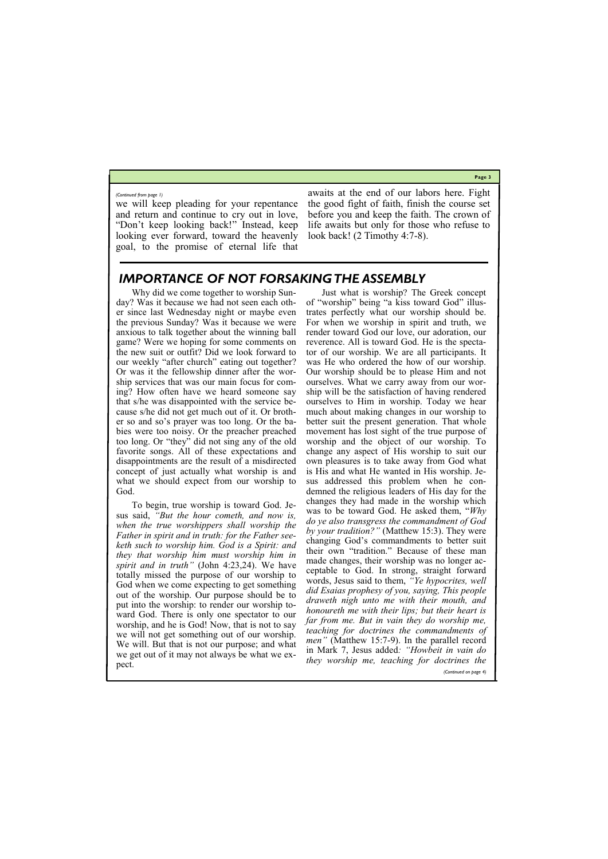**Page 3**

we will keep pleading for your repentance and return and continue to cry out in love, "Don't keep looking back!" Instead, keep looking ever forward, toward the heavenly goal, to the promise of eternal life that

awaits at the end of our labors here. Fight the good fight of faith, finish the course set before you and keep the faith. The crown of life awaits but only for those who refuse to look back! (2 Timothy 4:7-8).

#### *(Continued from page 1)*

# *IMPORTANCE OF NOT FORSAKING THE ASSEMBLY*

Why did we come together to worship Sunday? Was it because we had not seen each other since last Wednesday night or maybe even the previous Sunday? Was it because we were anxious to talk together about the winning ball game? Were we hoping for some comments on the new suit or outfit? Did we look forward to our weekly "after church" eating out together? Or was it the fellowship dinner after the worship services that was our main focus for coming? How often have we heard someone say that s/he was disappointed with the service because s/he did not get much out of it. Or brother so and so's prayer was too long. Or the babies were too noisy. Or the preacher preached too long. Or "they" did not sing any of the old favorite songs. All of these expectations and disappointments are the result of a misdirected concept of just actually what worship is and what we should expect from our worship to God.

To begin, true worship is toward God. Jesus said, *"But the hour cometh, and now is, when the true worshippers shall worship the Father in spirit and in truth: for the Father seeketh such to worship him. God is a Spirit: and they that worship him must worship him in spirit and in truth"* (John 4:23,24). We have totally missed the purpose of our worship to God when we come expecting to get something out of the worship. Our purpose should be to put into the worship: to render our worship toward God. There is only one spectator to our worship, and he is God! Now, that is not to say we will not get something out of our worship. We will. But that is not our purpose; and what

Just what is worship? The Greek concept of "worship" being "a kiss toward God" illustrates perfectly what our worship should be. For when we worship in spirit and truth, we render toward God our love, our adoration, our reverence. All is toward God. He is the spectator of our worship. We are all participants. It was He who ordered the how of our worship. Our worship should be to please Him and not ourselves. What we carry away from our worship will be the satisfaction of having rendered ourselves to Him in worship. Today we hear much about making changes in our worship to better suit the present generation. That whole movement has lost sight of the true purpose of worship and the object of our worship. To change any aspect of His worship to suit our own pleasures is to take away from God what is His and what He wanted in His worship. Jesus addressed this problem when he condemned the religious leaders of His day for the changes they had made in the worship which was to be toward God. He asked them, "*Why do ye also transgress the commandment of God by your tradition?"* (Matthew 15:3). They were changing God's commandments to better suit their own "tradition." Because of these man made changes, their worship was no longer acceptable to God. In strong, straight forward words, Jesus said to them, *"Ye hypocrites, well did Esaias prophesy of you, saying, This people draweth nigh unto me with their mouth, and honoureth me with their lips; but their heart is far from me. But in vain they do worship me, teaching for doctrines the commandments of men"* (Matthew 15:7-9). In the parallel record

we get out of it may not always be what we expect. in Mark 7, Jesus added*: "Howbeit in vain do they worship me, teaching for doctrines the (Continued on page 4)*